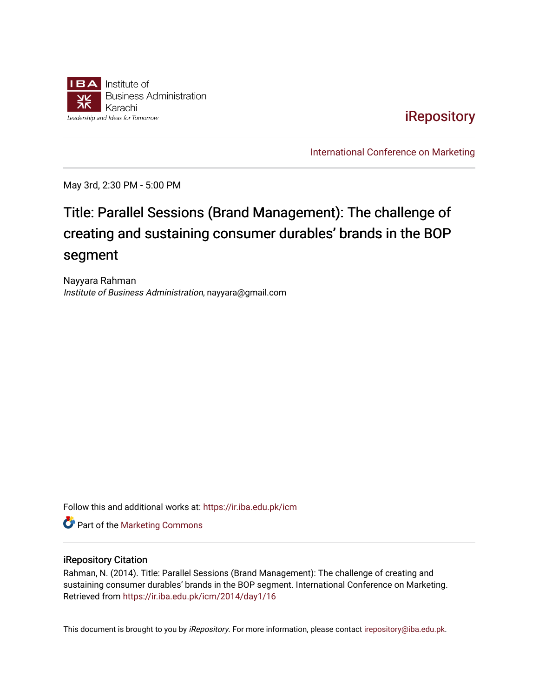

[iRepository](https://ir.iba.edu.pk/) 

[International Conference on Marketing](https://ir.iba.edu.pk/icm) 

May 3rd, 2:30 PM - 5:00 PM

# Title: Parallel Sessions (Brand Management): The challenge of creating and sustaining consumer durables' brands in the BOP segment

Nayyara Rahman Institute of Business Administration, nayyara@gmail.com

Follow this and additional works at: [https://ir.iba.edu.pk/icm](https://ir.iba.edu.pk/icm?utm_source=ir.iba.edu.pk%2Ficm%2F2014%2Fday1%2F16&utm_medium=PDF&utm_campaign=PDFCoverPages) 

**Part of the [Marketing Commons](http://network.bepress.com/hgg/discipline/638?utm_source=ir.iba.edu.pk%2Ficm%2F2014%2Fday1%2F16&utm_medium=PDF&utm_campaign=PDFCoverPages)** 

#### iRepository Citation

Rahman, N. (2014). Title: Parallel Sessions (Brand Management): The challenge of creating and sustaining consumer durables' brands in the BOP segment. International Conference on Marketing. Retrieved from [https://ir.iba.edu.pk/icm/2014/day1/16](https://ir.iba.edu.pk/icm/2014/day1/16?utm_source=ir.iba.edu.pk%2Ficm%2F2014%2Fday1%2F16&utm_medium=PDF&utm_campaign=PDFCoverPages) 

This document is brought to you by iRepository. For more information, please contact [irepository@iba.edu.pk](mailto:irepository@iba.edu.pk).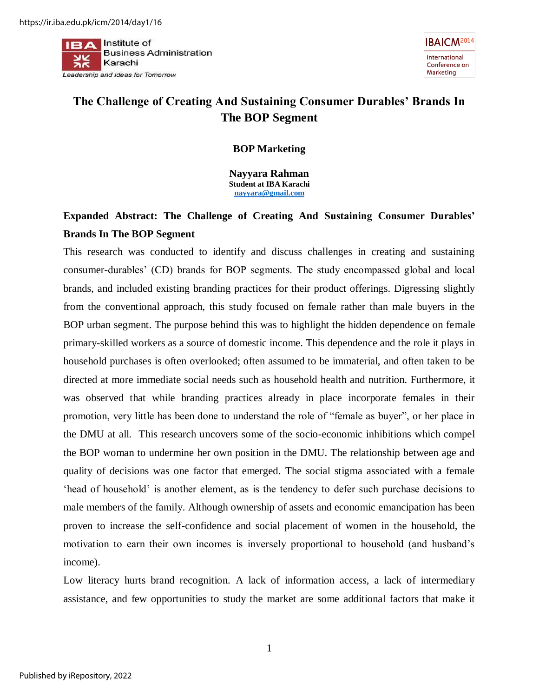$\mathbf{I}$  **Piper** Institute of **Business Administration** Karachi Leadership and Ideas for Tomorrow



## **The Challenge of Creating And Sustaining Consumer Durables' Brands In The BOP Segment**

### **BOP Marketing**

**Nayyara Rahman Student at IBA Karachi [nayyara@gmail.com](mailto:nayyara@gmail.com)**

### **Expanded Abstract: The Challenge of Creating And Sustaining Consumer Durables' Brands In The BOP Segment**

This research was conducted to identify and discuss challenges in creating and sustaining consumer-durables' (CD) brands for BOP segments. The study encompassed global and local brands, and included existing branding practices for their product offerings. Digressing slightly from the conventional approach, this study focused on female rather than male buyers in the BOP urban segment. The purpose behind this was to highlight the hidden dependence on female primary-skilled workers as a source of domestic income. This dependence and the role it plays in household purchases is often overlooked; often assumed to be immaterial, and often taken to be directed at more immediate social needs such as household health and nutrition. Furthermore, it was observed that while branding practices already in place incorporate females in their promotion, very little has been done to understand the role of "female as buyer", or her place in the DMU at all. This research uncovers some of the socio-economic inhibitions which compel the BOP woman to undermine her own position in the DMU. The relationship between age and quality of decisions was one factor that emerged. The social stigma associated with a female 'head of household' is another element, as is the tendency to defer such purchase decisions to male members of the family. Although ownership of assets and economic emancipation has been proven to increase the self-confidence and social placement of women in the household, the motivation to earn their own incomes is inversely proportional to household (and husband's income).

Low literacy hurts brand recognition. A lack of information access, a lack of intermediary assistance, and few opportunities to study the market are some additional factors that make it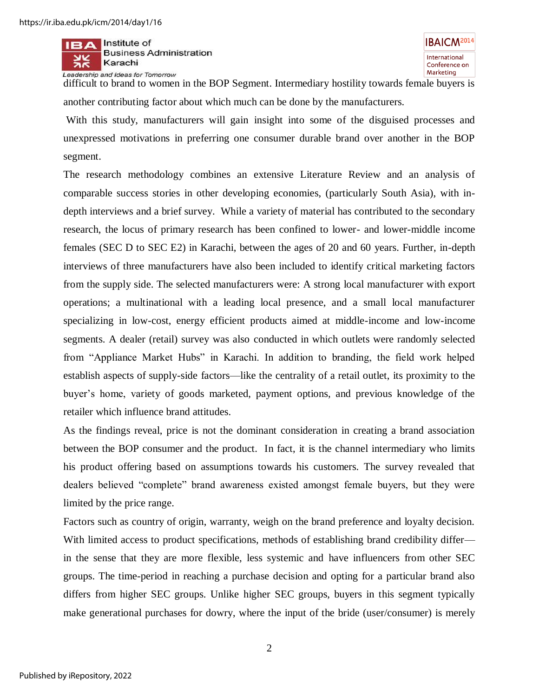$\mathbf{I}$  **Piper** Institute of **Business Administration** Karachi Leadership and Ideas for Tomorrow

difficult to brand to women in the BOP Segment. Intermediary hostility towards female buyers is another contributing factor about which much can be done by the manufacturers.

 With this study, manufacturers will gain insight into some of the disguised processes and unexpressed motivations in preferring one consumer durable brand over another in the BOP segment.

The research methodology combines an extensive Literature Review and an analysis of comparable success stories in other developing economies, (particularly South Asia), with indepth interviews and a brief survey. While a variety of material has contributed to the secondary research, the locus of primary research has been confined to lower- and lower-middle income females (SEC D to SEC E2) in Karachi, between the ages of 20 and 60 years. Further, in-depth interviews of three manufacturers have also been included to identify critical marketing factors from the supply side. The selected manufacturers were: A strong local manufacturer with export operations; a multinational with a leading local presence, and a small local manufacturer specializing in low-cost, energy efficient products aimed at middle-income and low-income segments. A dealer (retail) survey was also conducted in which outlets were randomly selected from "Appliance Market Hubs" in Karachi. In addition to branding, the field work helped establish aspects of supply-side factors—like the centrality of a retail outlet, its proximity to the buyer's home, variety of goods marketed, payment options, and previous knowledge of the retailer which influence brand attitudes.

As the findings reveal, price is not the dominant consideration in creating a brand association between the BOP consumer and the product. In fact, it is the channel intermediary who limits his product offering based on assumptions towards his customers. The survey revealed that dealers believed "complete" brand awareness existed amongst female buyers, but they were limited by the price range.

Factors such as country of origin, warranty, weigh on the brand preference and loyalty decision. With limited access to product specifications, methods of establishing brand credibility differ in the sense that they are more flexible, less systemic and have influencers from other SEC groups. The time-period in reaching a purchase decision and opting for a particular brand also differs from higher SEC groups. Unlike higher SEC groups, buyers in this segment typically make generational purchases for dowry, where the input of the bride (user/consumer) is merely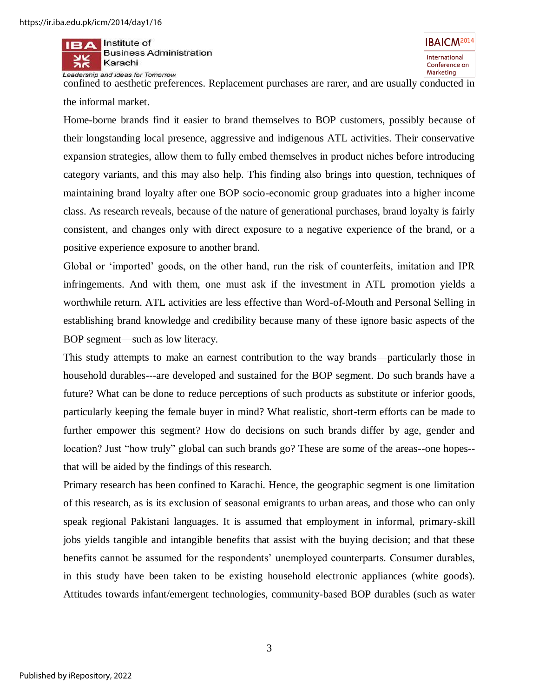Institute of **Business Administration** Karachi Leadership and Ideas for Tomorrow

**IBAICM<sup>2014</sup>** International Conference on Marketing

confined to aesthetic preferences. Replacement purchases are rarer, and are usually conducted in the informal market.

Home-borne brands find it easier to brand themselves to BOP customers, possibly because of their longstanding local presence, aggressive and indigenous ATL activities. Their conservative expansion strategies, allow them to fully embed themselves in product niches before introducing category variants, and this may also help. This finding also brings into question, techniques of maintaining brand loyalty after one BOP socio-economic group graduates into a higher income class. As research reveals, because of the nature of generational purchases, brand loyalty is fairly consistent, and changes only with direct exposure to a negative experience of the brand, or a positive experience exposure to another brand.

Global or 'imported' goods, on the other hand, run the risk of counterfeits, imitation and IPR infringements. And with them, one must ask if the investment in ATL promotion yields a worthwhile return. ATL activities are less effective than Word-of-Mouth and Personal Selling in establishing brand knowledge and credibility because many of these ignore basic aspects of the BOP segment—such as low literacy.

This study attempts to make an earnest contribution to the way brands—particularly those in household durables---are developed and sustained for the BOP segment. Do such brands have a future? What can be done to reduce perceptions of such products as substitute or inferior goods, particularly keeping the female buyer in mind? What realistic, short-term efforts can be made to further empower this segment? How do decisions on such brands differ by age, gender and location? Just "how truly" global can such brands go? These are some of the areas--one hopes- that will be aided by the findings of this research.

Primary research has been confined to Karachi. Hence, the geographic segment is one limitation of this research, as is its exclusion of seasonal emigrants to urban areas, and those who can only speak regional Pakistani languages. It is assumed that employment in informal, primary-skill jobs yields tangible and intangible benefits that assist with the buying decision; and that these benefits cannot be assumed for the respondents' unemployed counterparts. Consumer durables, in this study have been taken to be existing household electronic appliances (white goods). Attitudes towards infant/emergent technologies, community-based BOP durables (such as water